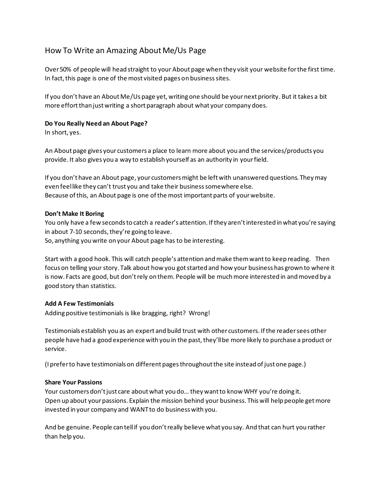# How To Write an Amazing About Me/Us Page

Over 50% of people will head straight to your About page when they visit your website for the first time. In fact, this page is one of the most visited pages on business sites.

If you don't have an About Me/Us page yet, writing one should be your next priority. But it takes a bit more effort than just writing a short paragraph about what your company does.

# **Do You Really Need an About Page?**

In short, yes.

An About page gives your customers a place to learn more about you and the services/products you provide. It also gives you a way to establish yourself as an authority in your field.

If you don't have an About page, your customers might be left with unanswered questions. They may even feel like they can't trust you and take their business somewhere else. Because of this, an About page is one of the most important parts of your website.

# **Don't Make It Boring**

You only have a few seconds to catch a reader's attention. If they aren't interested in what you're saying in about 7-10 seconds, they're going to leave.

So, anything you write on your About page has to be interesting.

Start with a good hook. This will catch people's attention and make them want to keep reading. Then focus on telling your story. Talk about how you got started and how your business has grown to where it is now. Facts are good, but don't rely on them. People will be much more interested in and moved by a good story than statistics.

# **Add A Few Testimonials**

Adding positive testimonials is like bragging, right? Wrong!

Testimonials establish you as an expert and build trust with other customers. If the reader sees other people have had a good experience with you in the past, they'll be more likely to purchase a product or service.

(I prefer to have testimonials on different pages throughout the site instead of just one page.)

#### **Share Your Passions**

Your customers don't just care about what you do… they want to know WHY you're doing it. Open up about your passions. Explain the mission behind your business. This will help people get more invested in your company and WANT to do business with you.

And be genuine. People can tell if you don't really believe what you say. And that can hurt you rather than help you.